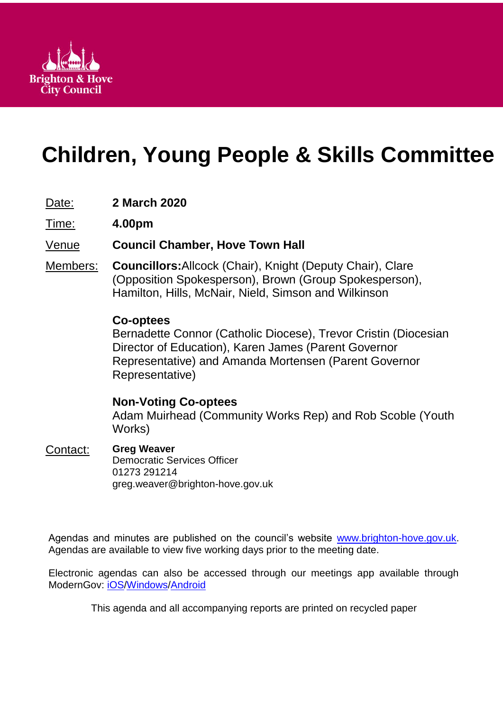

# **Children, Young People & Skills Committee**

# Date: **2 March 2020**

Time: **4.00pm**

## Venue **Council Chamber, Hove Town Hall**

Members: **Councillors:**Allcock (Chair), Knight (Deputy Chair), Clare (Opposition Spokesperson), Brown (Group Spokesperson), Hamilton, Hills, McNair, Nield, Simson and Wilkinson

## **Co-optees**

Bernadette Connor (Catholic Diocese), Trevor Cristin (Diocesian Director of Education), Karen James (Parent Governor Representative) and Amanda Mortensen (Parent Governor Representative)

## **Non-Voting Co-optees**

Adam Muirhead (Community Works Rep) and Rob Scoble (Youth Works)

## Contact: **Greg Weaver**

Democratic Services Officer 01273 291214 greg.weaver@brighton-hove.gov.uk

Agendas and minutes are published on the council's website [www.brighton-hove.gov.uk.](http://www.brighton-hove.gov.uk/) Agendas are available to view five working days prior to the meeting date.

Electronic agendas can also be accessed through our meetings app available through ModernGov: [iOS](https://play.google.com/store/apps/details?id=uk.co.moderngov.modgov&hl=en_GB)[/Windows/](https://www.microsoft.com/en-gb/p/modgov/9nblggh0c7s7#activetab=pivot:overviewtab)[Android](https://play.google.com/store/apps/details?id=uk.co.moderngov.modgov&hl=en_GB)

This agenda and all accompanying reports are printed on recycled paper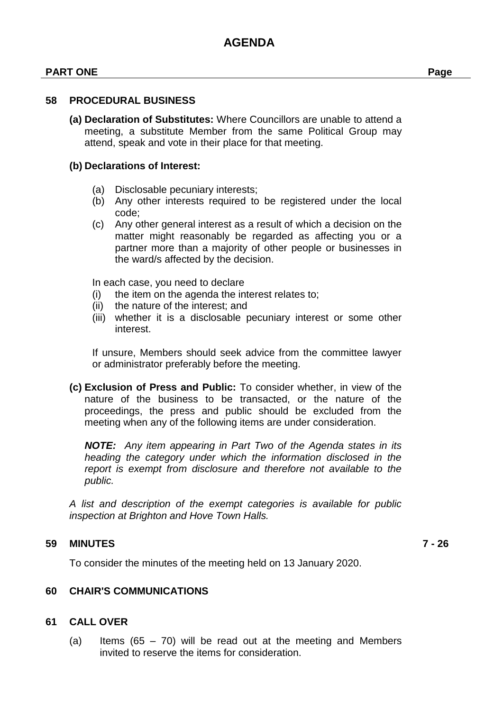#### **PART ONE Page**

#### **58 PROCEDURAL BUSINESS**

**(a) Declaration of Substitutes:** Where Councillors are unable to attend a meeting, a substitute Member from the same Political Group may attend, speak and vote in their place for that meeting.

#### **(b) Declarations of Interest:**

- (a) Disclosable pecuniary interests;
- (b) Any other interests required to be registered under the local code;
- (c) Any other general interest as a result of which a decision on the matter might reasonably be regarded as affecting you or a partner more than a majority of other people or businesses in the ward/s affected by the decision.

In each case, you need to declare

- (i) the item on the agenda the interest relates to;
- (ii) the nature of the interest; and
- (iii) whether it is a disclosable pecuniary interest or some other interest.

If unsure, Members should seek advice from the committee lawyer or administrator preferably before the meeting.

**(c) Exclusion of Press and Public:** To consider whether, in view of the nature of the business to be transacted, or the nature of the proceedings, the press and public should be excluded from the meeting when any of the following items are under consideration.

*NOTE: Any item appearing in Part Two of the Agenda states in its heading the category under which the information disclosed in the report is exempt from disclosure and therefore not available to the public.*

*A list and description of the exempt categories is available for public inspection at Brighton and Hove Town Halls.*

#### **59 MINUTES 7 - 26**

To consider the minutes of the meeting held on 13 January 2020.

#### **60 CHAIR'S COMMUNICATIONS**

#### **61 CALL OVER**

(a) Items  $(65 - 70)$  will be read out at the meeting and Members invited to reserve the items for consideration.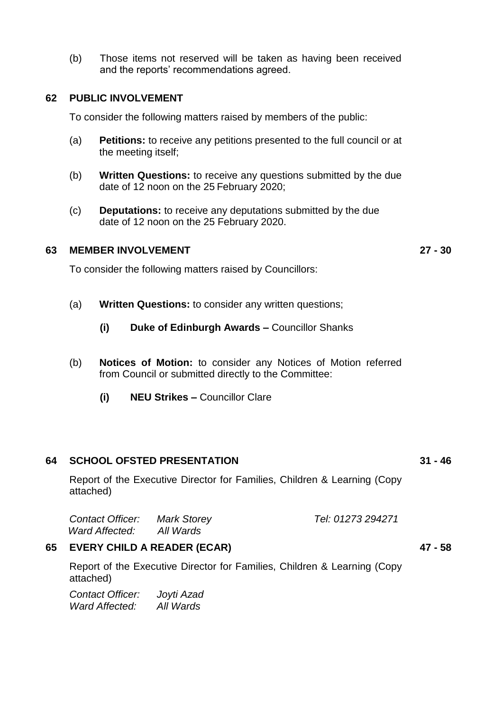(b) Those items not reserved will be taken as having been received and the reports' recommendations agreed.

#### **62 PUBLIC INVOLVEMENT**

To consider the following matters raised by members of the public:

- (a) **Petitions:** to receive any petitions presented to the full council or at the meeting itself;
- (b) **Written Questions:** to receive any questions submitted by the due date of 12 noon on the 25 February 2020;
- (c) **Deputations:** to receive any deputations submitted by the due date of 12 noon on the 25 February 2020.

#### **63 MEMBER INVOLVEMENT 27 - 30**

To consider the following matters raised by Councillors:

- (a) **Written Questions:** to consider any written questions;
	- **(i) Duke of Edinburgh Awards –** Councillor Shanks
- (b) **Notices of Motion:** to consider any Notices of Motion referred from Council or submitted directly to the Committee:
	- **(i) NEU Strikes –** Councillor Clare

#### **64 SCHOOL OFSTED PRESENTATION 31 - 46**

Report of the Executive Director for Families, Children & Learning (Copy attached)

| <b>Contact Officer:</b> | <b>Mark Storey</b> | Tel: 01273 294271 |
|-------------------------|--------------------|-------------------|
| Ward Affected:          | All Wards          |                   |

#### **65 EVERY CHILD A READER (ECAR) 47 - 58**

Report of the Executive Director for Families, Children & Learning (Copy attached)

*Contact Officer: Joyti Azad Ward Affected: All Wards*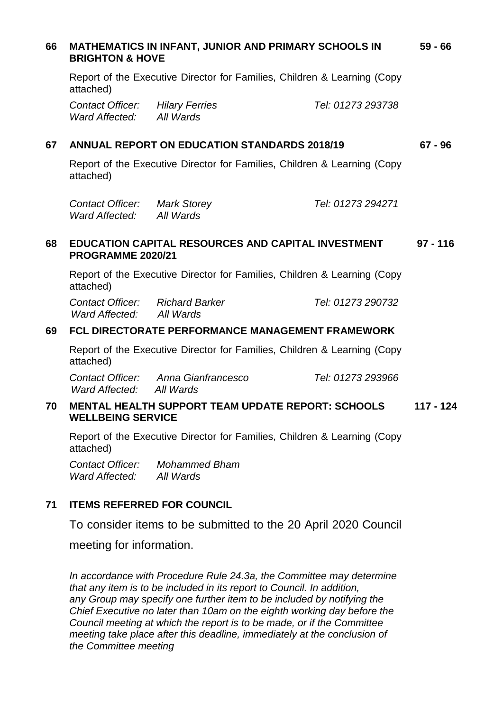# **66 MATHEMATICS IN INFANT, JUNIOR AND PRIMARY SCHOOLS IN BRIGHTON & HOVE 59 - 66** Report of the Executive Director for Families, Children & Learning (Copy attached) *Contact Officer: Hilary Ferries Tel: 01273 293738 Ward Affected: All Wards* **67 ANNUAL REPORT ON EDUCATION STANDARDS 2018/19 67 - 96** Report of the Executive Director for Families, Children & Learning (Copy attached) *Contact Officer: Mark Storey Tel: 01273 294271 Ward Affected: All Wards* **68 EDUCATION CAPITAL RESOURCES AND CAPITAL INVESTMENT PROGRAMME 2020/21 97 - 116** Report of the Executive Director for Families, Children & Learning (Copy attached) *Contact Officer: Richard Barker Tel: 01273 290732 Ward Affected: All Wards* **69 FCL DIRECTORATE PERFORMANCE MANAGEMENT FRAMEWORK** Report of the Executive Director for Families, Children & Learning (Copy attached) *Contact Officer: Anna Gianfrancesco Tel: 01273 293966 Ward Affected: All Wards* **70 MENTAL HEALTH SUPPORT TEAM UPDATE REPORT: SCHOOLS WELLBEING SERVICE 117 - 124** Report of the Executive Director for Families, Children & Learning (Copy attached)

*Contact Officer: Mohammed Bham Ward Affected: All Wards*

## **71 ITEMS REFERRED FOR COUNCIL**

To consider items to be submitted to the 20 April 2020 Council

meeting for information.

*In accordance with Procedure Rule 24.3a, the Committee may determine that any item is to be included in its report to Council. In addition, any Group may specify one further item to be included by notifying the Chief Executive no later than 10am on the eighth working day before the Council meeting at which the report is to be made, or if the Committee meeting take place after this deadline, immediately at the conclusion of the Committee meeting*